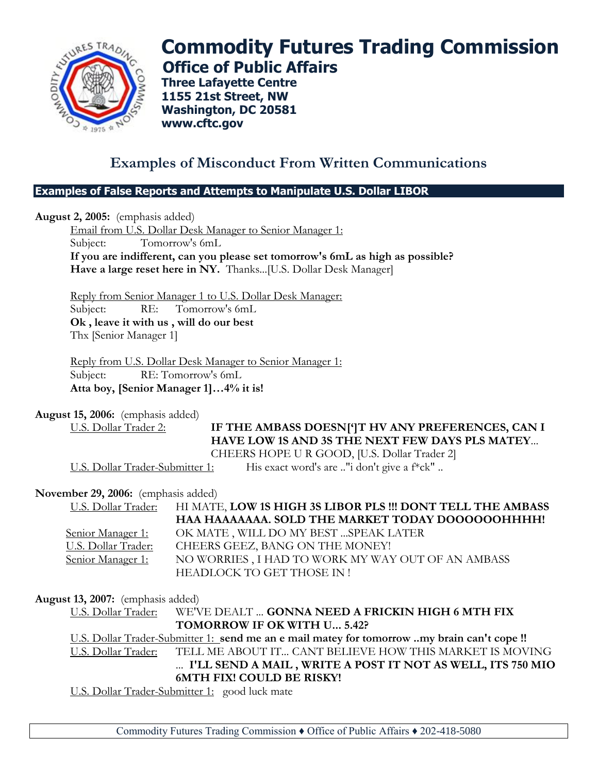

# **Commodity Futures Trading Commission Office of Public Affairs**

**Three Lafayette Centre 1155 21st Street, NW Washington, DC 20581 www.cftc.gov**

# **Examples of Misconduct From Written Communications**

#### **Examples of False Reports and Attempts to Manipulate U.S. Dollar LIBOR**

**August 2, 2005:** (emphasis added)

Email from U.S. Dollar Desk Manager to Senior Manager 1: Subject: Tomorrow's 6mL **If you are indifferent, can you please set tomorrow's 6mL as high as possible? Have a large reset here in NY.** Thanks...[U.S. Dollar Desk Manager]

Reply from Senior Manager 1 to U.S. Dollar Desk Manager: Subject: RE: Tomorrow's 6mL **Ok , leave it with us , will do our best** Thx [Senior Manager 1]

Reply from U.S. Dollar Desk Manager to Senior Manager 1: Subject: RE: Tomorrow's 6mL **Atta boy, [Senior Manager 1]…4% it is!**

**August 15, 2006:** (emphasis added)

U.S. Dollar Trader 2: **IF THE AMBASS DOESN[']T HV ANY PREFERENCES, CAN I HAVE LOW 1S AND 3S THE NEXT FEW DAYS PLS MATEY**... CHEERS HOPE U R GOOD, [U.S. Dollar Trader 2]

U.S. Dollar Trader-Submitter 1: His exact word's are .."i don't give a f\*ck"..

#### **November 29, 2006:** (emphasis added)

U.S. Dollar Trader: **HI MATE, LOW 1S HIGH 3S LIBOR PLS !!! DONT TELL THE AMBASS HAA HAAAAAAA. SOLD THE MARKET TODAY DOOOOOOHHHH!** Senior Manager 1: OK MATE, WILL DO MY BEST ... SPEAK LATER U.S. Dollar Trader: CHEERS GEEZ, BANG ON THE MONEY! Senior Manager 1: NO WORRIES, I HAD TO WORK MY WAY OUT OF AN AMBASS HEADLOCK TO GET THOSE IN !

# **August 13, 2007:** (emphasis added)

U.S. Dollar Trader: WE'VE DEALT ... **GONNA NEED A FRICKIN HIGH 6 MTH FIX TOMORROW IF OK WITH U... 5.42?**

U.S. Dollar Trader-Submitter 1: **send me an e mail matey for tomorrow ..my brain can't cope !!** U.S. Dollar Trader: TELL ME ABOUT IT... CANT BELIEVE HOW THIS MARKET IS MOVING ... **I'LL SEND A MAIL , WRITE A POST IT NOT AS WELL, ITS 750 MIO 6MTH FIX! COULD BE RISKY!**

U.S. Dollar Trader-Submitter 1: good luck mate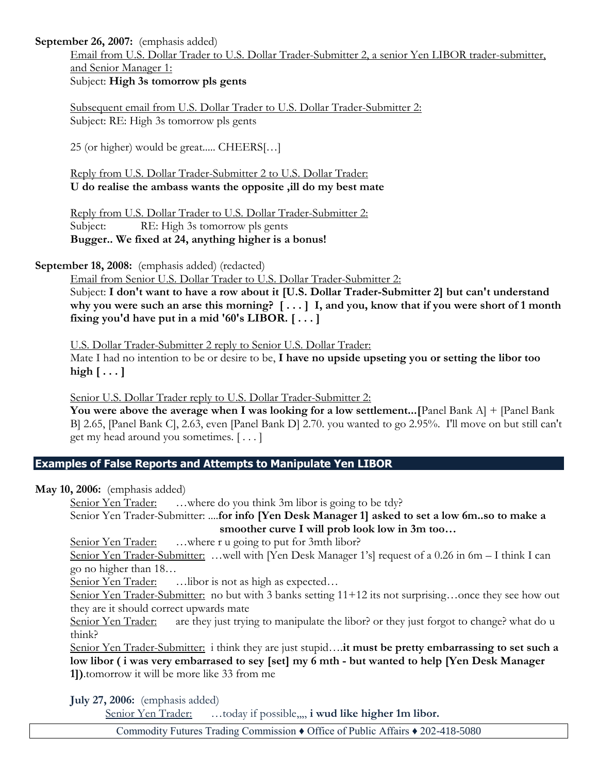#### **September 26, 2007:** (emphasis added)

Email from U.S. Dollar Trader to U.S. Dollar Trader-Submitter 2, a senior Yen LIBOR trader-submitter, and Senior Manager 1:

Subject: **High 3s tomorrow pls gents**

Subsequent email from U.S. Dollar Trader to U.S. Dollar Trader-Submitter 2: Subject: RE: High 3s tomorrow pls gents

25 (or higher) would be great..... CHEERS[…]

Reply from U.S. Dollar Trader-Submitter 2 to U.S. Dollar Trader: **U do realise the ambass wants the opposite ,ill do my best mate**

Reply from U.S. Dollar Trader to U.S. Dollar Trader-Submitter 2: Subject: RE: High 3s tomorrow pls gents **Bugger.. We fixed at 24, anything higher is a bonus!**

**September 18, 2008:** (emphasis added) (redacted)

Email from Senior U.S. Dollar Trader to U.S. Dollar Trader-Submitter 2:

Subject: **I don't want to have a row about it [U.S. Dollar Trader-Submitter 2] but can't understand why you were such an arse this morning? [ . . . ] I, and you, know that if you were short of 1 month fixing you'd have put in a mid '60's LIBOR. [ . . . ]**

U.S. Dollar Trader-Submitter 2 reply to Senior U.S. Dollar Trader:

Mate I had no intention to be or desire to be, **I have no upside upseting you or setting the libor too high [ . . . ]**

Senior U.S. Dollar Trader reply to U.S. Dollar Trader-Submitter 2:

You were above the average when I was looking for a low settlement... [Panel Bank A] + [Panel Bank B] 2.65, [Panel Bank C], 2.63, even [Panel Bank D] 2.70. you wanted to go 2.95%. I'll move on but still can't get my head around you sometimes. [ . . . ]

# **Examples of False Reports and Attempts to Manipulate Yen LIBOR**

**May 10, 2006:** (emphasis added)

Senior Yen Trader: ...where do you think 3m libor is going to be tdy? Senior Yen Trader-Submitter: ....**for info [Yen Desk Manager 1] asked to set a low 6m..so to make a** 

**smoother curve I will prob look low in 3m too…**

Senior Yen Trader: ...where r u going to put for 3mth libor?

Senior Yen Trader-Submitter: ...well with [Yen Desk Manager 1's] request of a 0.26 in 6m - I think I can go no higher than 18…

Senior Yen Trader: ... libor is not as high as expected...

Senior Yen Trader-Submitter: no but with 3 banks setting 11+12 its not surprising...once they see how out they are it should correct upwards mate

Senior Yen Trader: are they just trying to manipulate the libor? or they just forgot to change? what do u think?

Senior Yen Trader-Submitter: i think they are just stupid….**it must be pretty embarrassing to set such a low libor ( i was very embarrased to sey [set] my 6 mth - but wanted to help [Yen Desk Manager 1])**.tomorrow it will be more like 33 from me

**July 27, 2006:** (emphasis added)

Senior Yen Trader: …today if possible,,,, **i wud like higher 1m libor.**

Commodity Futures Trading Commission ♦ Office of Public Affairs ♦ 202-418-5080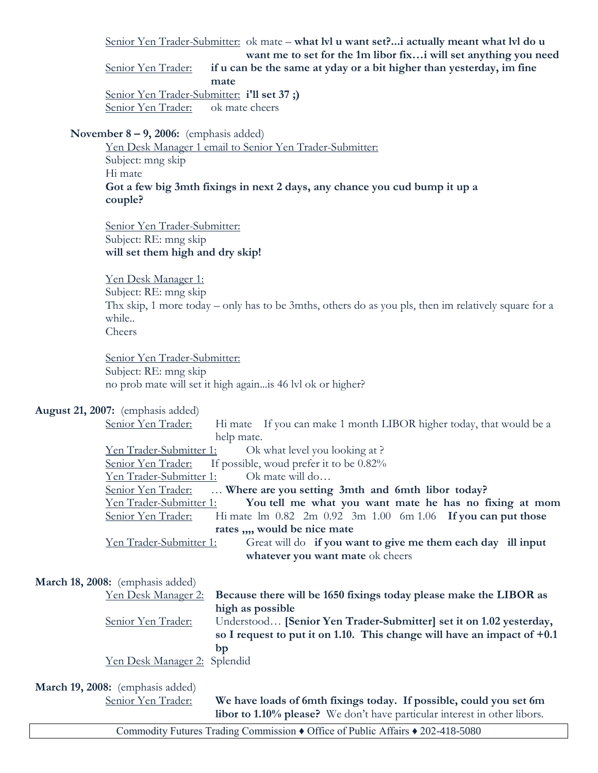Senior Yen Trader-Submitter: ok mate – **what lvl u want set?...i actually meant what lvl do u want me to set for the 1m libor fix…i will set anything you need** Senior Yen Trader: **if u can be the same at yday or a bit higher than yesterday, im fine mate**

Senior Yen Trader-Submitter: **i'll set 37 ;)** Senior Yen Trader: ok mate cheers

#### **November 8 – 9, 2006:** (emphasis added)

Yen Desk Manager 1 email to Senior Yen Trader-Submitter: Subject: mng skip Hi mate **Got a few big 3mth fixings in next 2 days, any chance you cud bump it up a couple?**

Senior Yen Trader-Submitter: Subject: RE: mng skip **will set them high and dry skip!**

Yen Desk Manager 1: Subject: RE: mng skip Thx skip, 1 more today – only has to be 3mths, others do as you pls, then im relatively square for a while.. Cheers

Senior Yen Trader-Submitter: Subject: RE: mng skip no prob mate will set it high again...is 46 lvl ok or higher?

**August 21, 2007:** (emphasis added)

| Hi mate If you can make 1 month LIBOR higher today, that would be a<br>Senior Yen Trader:          |  |  |  |
|----------------------------------------------------------------------------------------------------|--|--|--|
| help mate.                                                                                         |  |  |  |
| Yen Trader-Submitter 1: Ok what level you looking at?                                              |  |  |  |
| If possible, would prefer it to be $0.82\%$<br>Senior Yen Trader:                                  |  |  |  |
| Yen Trader-Submitter 1:<br>Ok mate will do                                                         |  |  |  |
| Where are you setting 3mth and 6mth libor today?<br>Senior Yen Trader:                             |  |  |  |
| You tell me what you want mate he has no fixing at mom<br><u>Yen Trader-Submitter 1:</u>           |  |  |  |
| Hi mate $\text{Im } 0.82$ 2m $0.92$ 3m $1.00$ 6m $1.06$ If you can put those<br>Senior Yen Trader: |  |  |  |
| rates ,,,, would be nice mate                                                                      |  |  |  |
| Yen Trader-Submitter 1:<br>Great will do if you want to give me them each day ill input            |  |  |  |
| whatever you want mate ok cheers                                                                   |  |  |  |
|                                                                                                    |  |  |  |

| March 18, 2008: (emphasis added) |  |
|----------------------------------|--|
| Yen Desk Manager 2: Becaus       |  |
|                                  |  |

se there will be 1650 fixings today please make the LIBOR as **high as possible** Senior Yen Trader: Understood… **[Senior Yen Trader-Submitter] set it on 1.02 yesterday, so I request to put it on 1.10. This change will have an impact of +0.1 bp** Yen Desk Manager 2: Splendid

**March 19, 2008:** (emphasis added)

Senior Yen Trader: **We have loads of 6mth fixings today. If possible, could you set 6m libor to 1.10% please?** We don't have particular interest in other libors.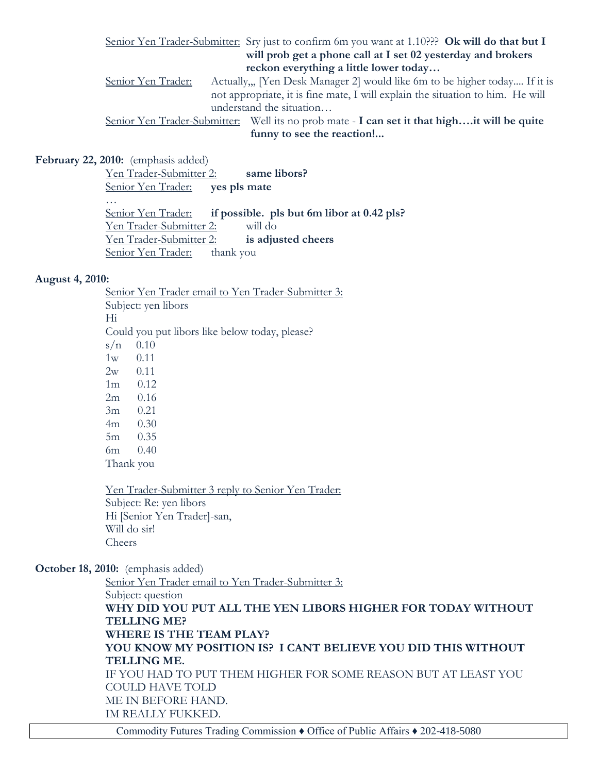Senior Yen Trader-Submitter: Sry just to confirm 6m you want at 1.10??? **Ok will do that but I will prob get a phone call at I set 02 yesterday and brokers reckon everything a little lower today…** Senior Yen Trader: Actually,,, [Yen Desk Manager 2] would like 6m to be higher today.... If it is not appropriate, it is fine mate, I will explain the situation to him. He will understand the situation…

Senior Yen Trader-Submitter: Well its no prob mate - **I can set it that high….it will be quite funny to see the reaction!...**

**February 22, 2010:** (emphasis added)

Yen Trader-Submitter 2: **same libors?** Senior Yen Trader: **yes pls mate** … Senior Yen Trader: **if possible. pls but 6m libor at 0.42 pls?** Yen Trader-Submitter 2: will do Yen Trader-Submitter 2: **is adjusted cheers** Senior Yen Trader: thank you

#### **August 4, 2010:**

Senior Yen Trader email to Yen Trader-Submitter 3: Subject: yen libors Hi Could you put libors like below today, please?  $s/n$  0.10 1w 0.11 2w 0.11 1m 0.12 2m 0.16 3m 0.21 4m 0.30 5m 0.35 6m 0.40 Thank you

Yen Trader-Submitter 3 reply to Senior Yen Trader: Subject: Re: yen libors Hi [Senior Yen Trader]-san, Will do sir! Cheers

**October 18, 2010:** (emphasis added)

Senior Yen Trader email to Yen Trader-Submitter 3: Subject: question **WHY DID YOU PUT ALL THE YEN LIBORS HIGHER FOR TODAY WITHOUT TELLING ME? WHERE IS THE TEAM PLAY? YOU KNOW MY POSITION IS? I CANT BELIEVE YOU DID THIS WITHOUT TELLING ME.** IF YOU HAD TO PUT THEM HIGHER FOR SOME REASON BUT AT LEAST YOU COULD HAVE TOLD ME IN BEFORE HAND. IM REALLY FUKKED.

Commodity Futures Trading Commission ♦ Office of Public Affairs ♦ 202-418-5080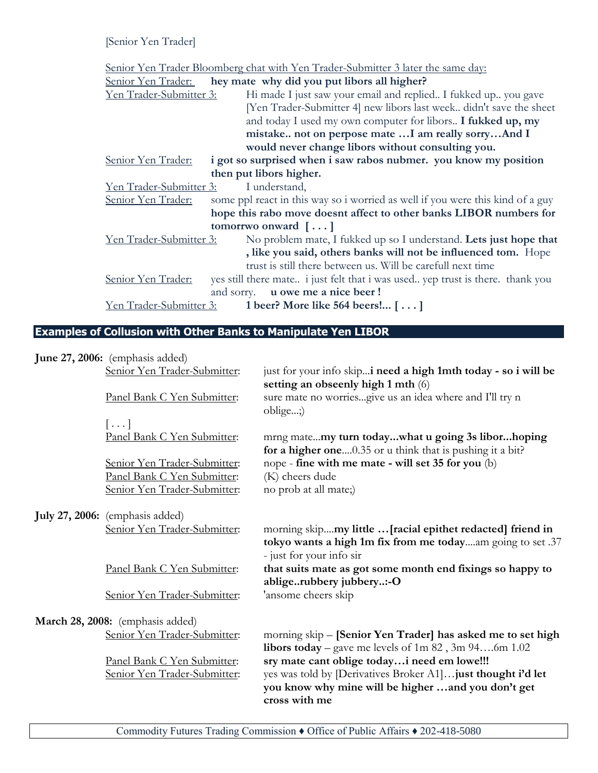[Senior Yen Trader]

Senior Yen Trader Bloomberg chat with Yen Trader-Submitter 3 later the same day:

| <u>Senior Yen Trader:</u> | hey mate why did you put libors all higher?                                                                                   |
|---------------------------|-------------------------------------------------------------------------------------------------------------------------------|
| Yen Trader-Submitter 3:   | Hi made I just saw your email and replied. I fukked up., you gave                                                             |
|                           | [Yen Trader-Submitter 4] new libors last week didn't save the sheet                                                           |
|                           | and today I used my own computer for libors I fukked up, my                                                                   |
|                           | mistake not on perpose mate  I am really sorryAnd I                                                                           |
|                           | would never change libors without consulting you.                                                                             |
| Senior Yen Trader:        | i got so surprised when i saw rabos nubmer. you know my position                                                              |
|                           | then put libors higher.                                                                                                       |
| Yen Trader-Submitter 3:   | I understand,                                                                                                                 |
| Senior Yen Trader:        | some ppl react in this way so i worried as well if you were this kind of a guy                                                |
|                           | hope this rabo move doesnt affect to other banks LIBOR numbers for                                                            |
|                           | tomorrwo onward $[\dots]$                                                                                                     |
| Yen Trader-Submitter 3:   | No problem mate, I fukked up so I understand. Lets just hope that                                                             |
|                           | , like you said, others banks will not be influenced tom. Hope<br>trust is still there between us. Will be carefull next time |
| Senior Yen Trader:        | yes still there mate <i>i</i> just felt that <i>i</i> was used yep trust is there. thank you                                  |
|                           | and sorry. <b>u</b> owe me a nice beer!                                                                                       |
| Yen Trader-Submitter 3:   | 1 beer? More like 564 beers! []                                                                                               |

# **Examples of Collusion with Other Banks to Manipulate Yen LIBOR**

| June 27, 2006: (emphasis added)                                                             |                                                                                                                                                                                    |
|---------------------------------------------------------------------------------------------|------------------------------------------------------------------------------------------------------------------------------------------------------------------------------------|
| Senior Yen Trader-Submitter:                                                                | just for your info skip i need a high 1mth today - so i will be                                                                                                                    |
| Panel Bank C Yen Submitter:                                                                 | setting an obseenly high 1 mth (6)<br>sure mate no worriesgive us an idea where and I'll try n<br>oblige;)                                                                         |
| $[\ldots]$<br>Panel Bank C Yen Submitter:                                                   | mrng matemy turn todaywhat u going 3s liborhoping<br>for a higher one0.35 or u think that is pushing it a bit?                                                                     |
| Senior Yen Trader-Submitter:<br>Panel Bank C Yen Submitter:<br>Senior Yen Trader-Submitter: | nope - fine with me mate - will set 35 for you (b)<br>(K) cheers dude<br>no prob at all mate;)                                                                                     |
| <b>July 27, 2006:</b> (emphasis added)<br>Senior Yen Trader-Submitter:                      | morning skipmy little  [racial epithet redacted] friend in<br>tokyo wants a high 1m fix from me todayam going to set .37<br>- just for your info sir                               |
| Panel Bank C Yen Submitter:                                                                 | that suits mate as got some month end fixings so happy to<br>abligerubbery jubbery:-O                                                                                              |
| Senior Yen Trader-Submitter:                                                                | 'ansome cheers skip                                                                                                                                                                |
| March 28, 2008: (emphasis added)                                                            |                                                                                                                                                                                    |
| Senior Yen Trader-Submitter:                                                                | morning skip - [Senior Yen Trader] has asked me to set high<br>libors today – gave me levels of $1m$ 82, $3m$ 946m 1.02                                                            |
| Panel Bank C Yen Submitter:<br>Senior Yen Trader-Submitter:                                 | sry mate cant oblige todayi need em lowe!!!<br>yes was told by [Derivatives Broker A1] just thought i'd let<br>you know why mine will be higher and you don't get<br>cross with me |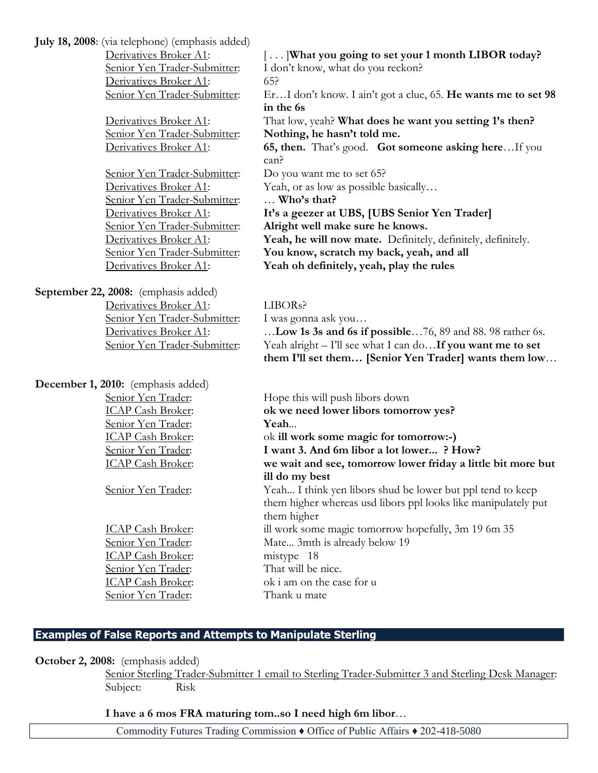**July 18, 2008**: (via telephone) (emphasis added)

Derivatives Broker A1: 65?

Senior Yen Trader-Submitter: Do you want me to set 65? Senior Yen Trader-Submitter: … **Who's that?**

**September 22, 2008:** (emphasis added) Derivatives Broker A1: LIBORs? Senior Yen Trader-Submitter: I was gonna ask you...

**December 1, 2010:** (emphasis added) Senior Yen Trader: **Yeah**...

ICAP Cash Broker: mistype 18 Senior Yen Trader: Thank u mate

Derivatives Broker A1:  $\left[ \ldots \right]$ What you going to set your 1 month **LIBOR** today? Senior Yen Trader-Submitter: I don't know, what do you reckon? Senior Yen Trader-Submitter: Er…I don't know. I ain't got a clue, 65. **He wants me to set 98 in the 6s** Derivatives Broker A1: That low, yeah? **What does he want you setting 1's then?** Senior Yen Trader-Submitter: **Nothing, he hasn't told me.** Derivatives Broker A1: **65, then.** That's good. **Got someone asking here**…If you can? Derivatives Broker A1: Yeah, or as low as possible basically... Derivatives Broker A1: **It's a geezer at UBS, [UBS Senior Yen Trader]** Senior Yen Trader-Submitter: **Alright well make sure he knows.** Derivatives Broker A1: **Yeah, he will now mate.** Definitely, definitely, definitely. Senior Yen Trader-Submitter: **You know, scratch my back, yeah, and all** Derivatives Broker A1: **Yeah oh definitely, yeah, play the rules**

Derivatives Broker A1: **Low 1s 3s and 6s if possible** ... 76, 89 and 88. 98 rather 6s. Senior Yen Trader-Submitter: Yeah alright – I'll see what I can do…**If you want me to set them I'll set them… [Senior Yen Trader] wants them low**…

Senior Yen Trader: Hope this will push libors down ICAP Cash Broker: **ok we need lower libors tomorrow yes?** ICAP Cash Broker: ok **ill work some magic for tomorrow:-)** Senior Yen Trader: **I want 3. And 6m libor a lot lower... ? How?** ICAP Cash Broker: **we wait and see, tomorrow lower friday a little bit more but ill do my best** Senior Yen Trader: Yeah... I think yen libors shud be lower but ppl tend to keep them higher whereas usd libors ppl looks like manipulately put them higher ICAP Cash Broker: ill work some magic tomorrow hopefully, 3m 19 6m 35 Senior Yen Trader: Mate... 3mth is already below 19 Senior Yen Trader: That will be nice. ICAP Cash Broker: ok i am on the case for u

# **Examples of False Reports and Attempts to Manipulate Sterling**

**October 2, 2008:** (emphasis added)

Senior Sterling Trader-Submitter 1 email to Sterling Trader-Submitter 3 and Sterling Desk Manager: Subject: Risk

**I have a 6 mos FRA maturing tom..so I need high 6m libor**…

Commodity Futures Trading Commission ♦ Office of Public Affairs ♦ 202-418-5080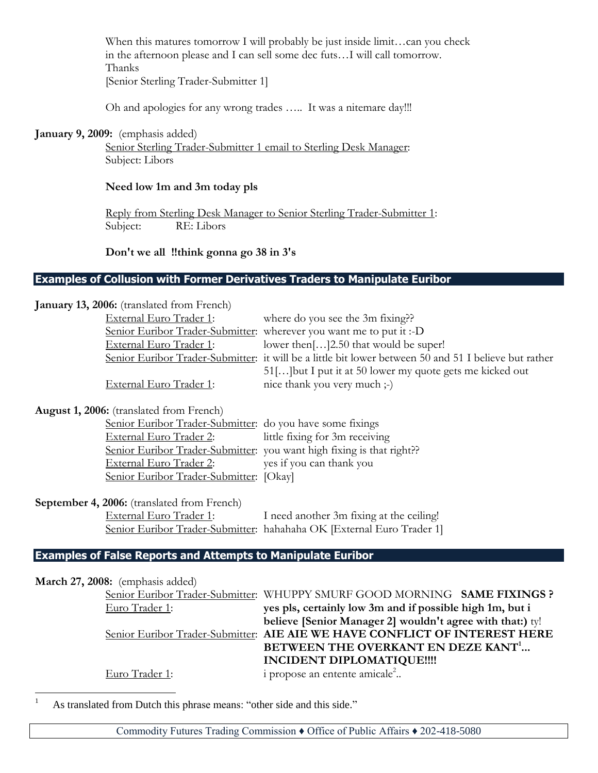When this matures tomorrow I will probably be just inside limit...can you check in the afternoon please and I can sell some dec futs…I will call tomorrow. Thanks [Senior Sterling Trader-Submitter 1]

Oh and apologies for any wrong trades ….. It was a nitemare day!!!

#### **January 9, 2009:** (emphasis added)

Senior Sterling Trader-Submitter 1 email to Sterling Desk Manager: Subject: Libors

#### **Need low 1m and 3m today pls**

Reply from Sterling Desk Manager to Senior Sterling Trader-Submitter 1: Subject: RE: Libors

**Don't we all !!think gonna go 38 in 3's**

#### **Examples of Collusion with Former Derivatives Traders to Manipulate Euribor**

| January 13, 2006: (translated from French)                          |                                                                                                       |
|---------------------------------------------------------------------|-------------------------------------------------------------------------------------------------------|
| External Euro Trader 1:                                             | where do you see the 3m fixing??                                                                      |
|                                                                     | Senior Euribor Trader-Submitter: wherever you want me to put it:-D                                    |
| External Euro Trader 1:                                             | lower then[]2.50 that would be super!                                                                 |
|                                                                     | Senior Euribor Trader-Submitter: it will be a little bit lower between 50 and 51 I believe but rather |
|                                                                     | 51[] but I put it at 50 lower my quote gets me kicked out                                             |
| External Euro Trader 1:                                             | nice thank you very much ;-)                                                                          |
| <b>August 1, 2006:</b> (translated from French)                     |                                                                                                       |
| Senior Euribor Trader-Submitter: do you have some fixings           |                                                                                                       |
| <b>External Euro Trader 2:</b>                                      | little fixing for 3m receiving                                                                        |
|                                                                     | Senior Euribor Trader-Submitter: you want high fixing is that right??                                 |
| External Euro Trader 2:                                             | yes if you can thank you                                                                              |
| Senior Euribor Trader-Submitter: [Okay]                             |                                                                                                       |
| September 4, 2006: (translated from French)                         |                                                                                                       |
| External Euro Trader 1:                                             | I need another 3m fixing at the ceiling!                                                              |
|                                                                     | Senior Euribor Trader-Submitter: hahahaha OK [External Euro Trader 1]                                 |
| <b>Examples of False Reports and Attempts to Manipulate Euribor</b> |                                                                                                       |
|                                                                     |                                                                                                       |
| March 27, 2008: (emphasis added)                                    |                                                                                                       |
|                                                                     | Senior Euribor Trader-Submitter: WHUPPY SMURF GOOD MORNING SAME FIXINGS ?                             |
| Euro Trader 1:                                                      | yes pls, certainly low 3m and if possible high 1m, but i                                              |
|                                                                     | believe [Senior Manager 2] wouldn't agree with that:) ty!                                             |
|                                                                     | Senior Euribor Trader-Submitter: AIE AIE WE HAVE CONFLICT OF INTEREST HERE                            |
|                                                                     | BETWEEN THE OVERKANT EN DEZE KANT <sup>1</sup>                                                        |
|                                                                     | <b>INCIDENT DIPLOMATIQUE!!!!</b>                                                                      |
| Euro Trader 1:                                                      | i propose an entente amicale <sup>2</sup>                                                             |

<sup>1</sup> As translated from Dutch this phrase means: "other side and this side."

 $\overline{a}$